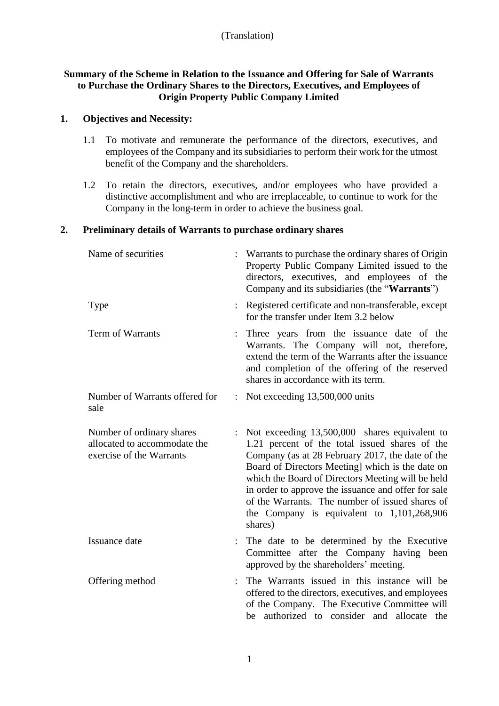# (Translation)

# **Summary of the Scheme in Relation to the Issuance and Offering for Sale of Warrants to Purchase the Ordinary Shares to the Directors, Executives, and Employees of Origin Property Public Company Limited**

#### **1. Objectives and Necessity:**

- 1.1 To motivate and remunerate the performance of the directors, executives, and employees of the Company and its subsidiaries to perform their work for the utmost benefit of the Company and the shareholders.
- 1.2 To retain the directors, executives, and/or employees who have provided a distinctive accomplishment and who are irreplaceable, to continue to work for the Company in the long-term in order to achieve the business goal.

## **2. Preliminary details of Warrants to purchase ordinary shares**

| Name of securities                                                                    | Warrants to purchase the ordinary shares of Origin<br>Property Public Company Limited issued to the<br>directors, executives, and employees of the<br>Company and its subsidiaries (the "Warrants")                                                                                                                                                                                                                               |
|---------------------------------------------------------------------------------------|-----------------------------------------------------------------------------------------------------------------------------------------------------------------------------------------------------------------------------------------------------------------------------------------------------------------------------------------------------------------------------------------------------------------------------------|
| <b>Type</b>                                                                           | Registered certificate and non-transferable, except<br>for the transfer under Item 3.2 below                                                                                                                                                                                                                                                                                                                                      |
| Term of Warrants                                                                      | Three years from the issuance date of the<br>Warrants. The Company will not, therefore,<br>extend the term of the Warrants after the issuance<br>and completion of the offering of the reserved<br>shares in accordance with its term.                                                                                                                                                                                            |
| Number of Warrants offered for<br>sale                                                | : Not exceeding $13,500,000$ units                                                                                                                                                                                                                                                                                                                                                                                                |
| Number of ordinary shares<br>allocated to accommodate the<br>exercise of the Warrants | Not exceeding 13,500,000 shares equivalent to<br>1.21 percent of the total issued shares of the<br>Company (as at 28 February 2017, the date of the<br>Board of Directors Meeting] which is the date on<br>which the Board of Directors Meeting will be held<br>in order to approve the issuance and offer for sale<br>of the Warrants. The number of issued shares of<br>the Company is equivalent to $1,101,268,906$<br>shares) |
| Issuance date                                                                         | The date to be determined by the Executive<br>Committee after the Company having been<br>approved by the shareholders' meeting.                                                                                                                                                                                                                                                                                                   |
| Offering method                                                                       | The Warrants issued in this instance will be<br>offered to the directors, executives, and employees<br>of the Company. The Executive Committee will<br>be authorized to consider and allocate the                                                                                                                                                                                                                                 |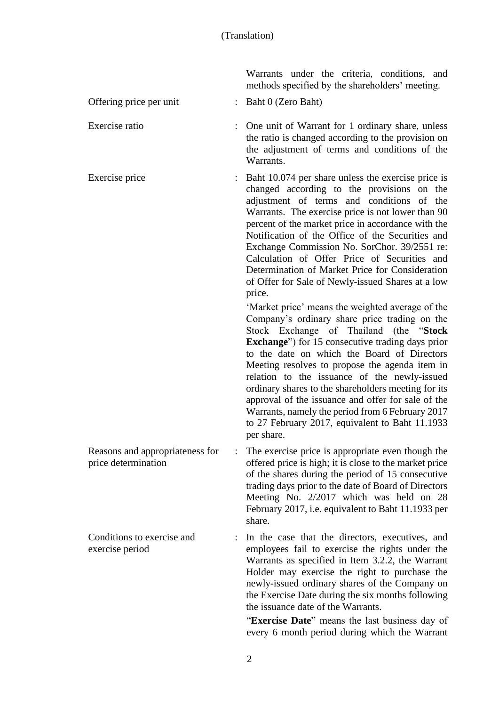Warrants.

Warrants under the criteria, conditions, and methods specified by the shareholders' meeting.

the ratio is changed according to the provision on the adjustment of terms and conditions of the

Offering price per unit : Baht 0 (Zero Baht)

Exercise ratio : One unit of Warrant for 1 ordinary share, unless

Exercise price : Baht 10.074 per share unless the exercise price is changed according to the provisions on the adjustment of terms and conditions of the Warrants. The exercise price is not lower than 90 percent of the market price in accordance with the Notification of the Office of the Securities and Exchange Commission No. SorChor. 39/2551 re: Calculation of Offer Price of Securities and Determination of Market Price for Consideration of Offer for Sale of Newly-issued Shares at a low price.

> 'Market price' means the weighted average of the Company's ordinary share price trading on the Stock Exchange of Thailand (the "**Stock Exchange**") for 15 consecutive trading days prior to the date on which the Board of Directors Meeting resolves to propose the agenda item in relation to the issuance of the newly-issued ordinary shares to the shareholders meeting for its approval of the issuance and offer for sale of the Warrants, namely the period from 6 February 2017 to 27 February 2017, equivalent to Baht 11.1933 per share.

Reasons and appropriateness for price determination : The exercise price is appropriate even though the offered price is high; it is close to the market price of the shares during the period of 15 consecutive trading days prior to the date of Board of Directors Meeting No. 2/2017 which was held on 28 February 2017, i.e. equivalent to Baht 11.1933 per share.

Conditions to exercise and exercise period

: In the case that the directors, executives, and employees fail to exercise the rights under the Warrants as specified in Item 3.2.2, the Warrant Holder may exercise the right to purchase the newly-issued ordinary shares of the Company on the Exercise Date during the six months following the issuance date of the Warrants.

"**Exercise Date**" means the last business day of every 6 month period during which the Warrant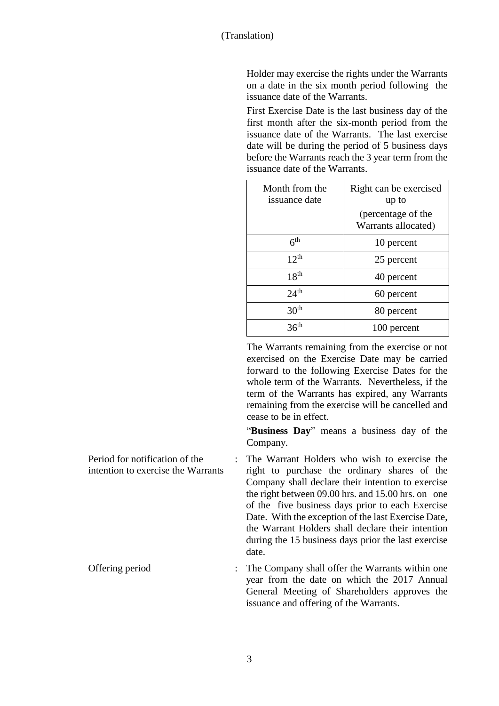Holder may exercise the rights under the Warrants on a date in the six month period following the issuance date of the Warrants.

First Exercise Date is the last business day of the first month after the six-month period from the issuance date of the Warrants. The last exercise date will be during the period of 5 business days before the Warrants reach the 3 year term from the issuance date of the Warrants.

| Month from the<br>issuance date | Right can be exercised<br>up to           |
|---------------------------------|-------------------------------------------|
|                                 | (percentage of the<br>Warrants allocated) |
| 6 <sup>th</sup>                 | 10 percent                                |
| $12^{th}$                       | 25 percent                                |
| 18 <sup>th</sup>                | 40 percent                                |
| 24 <sup>th</sup>                | 60 percent                                |
| 30 <sup>th</sup>                | 80 percent                                |
|                                 | 100 percent                               |

The Warrants remaining from the exercise or not exercised on the Exercise Date may be carried forward to the following Exercise Dates for the whole term of the Warrants. Nevertheless, if the term of the Warrants has expired, any Warrants remaining from the exercise will be cancelled and cease to be in effect.

"**Business Day**" means a business day of the Company.

Period for notification of the intention to exercise the Warrants : The Warrant Holders who wish to exercise the right to purchase the ordinary shares of the Company shall declare their intention to exercise the right between 09.00 hrs. and 15.00 hrs. on one of the five business days prior to each Exercise Date. With the exception of the last Exercise Date, the Warrant Holders shall declare their intention during the 15 business days prior the last exercise date.

Offering period : The Company shall offer the Warrants within one year from the date on which the 2017 Annual General Meeting of Shareholders approves the issuance and offering of the Warrants.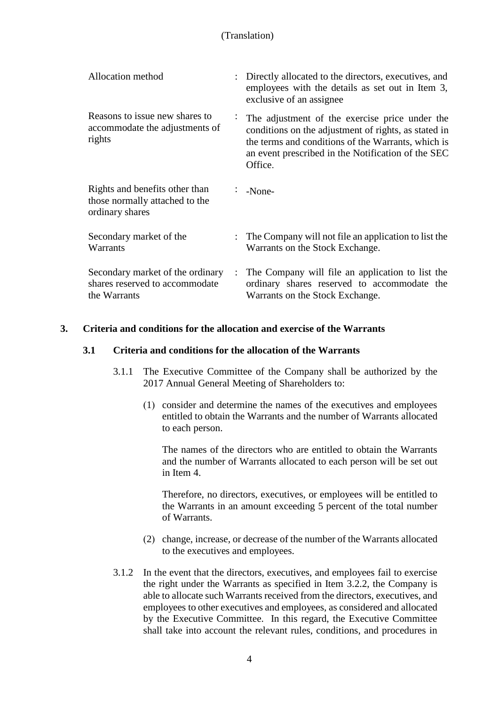| Allocation method                                                                   |                      | : Directly allocated to the directors, executives, and<br>employees with the details as set out in Item 3,<br>exclusive of an assignee                                                                                        |
|-------------------------------------------------------------------------------------|----------------------|-------------------------------------------------------------------------------------------------------------------------------------------------------------------------------------------------------------------------------|
| Reasons to issue new shares to<br>accommodate the adjustments of<br>rights          |                      | The adjustment of the exercise price under the<br>conditions on the adjustment of rights, as stated in<br>the terms and conditions of the Warrants, which is<br>an event prescribed in the Notification of the SEC<br>Office. |
| Rights and benefits other than<br>those normally attached to the<br>ordinary shares |                      | $\therefore$ -None-                                                                                                                                                                                                           |
| Secondary market of the<br>Warrants                                                 |                      | : The Company will not file an application to list the<br>Warrants on the Stock Exchange.                                                                                                                                     |
| Secondary market of the ordinary<br>shares reserved to accommodate<br>the Warrants  | $\ddot{\phantom{a}}$ | The Company will file an application to list the<br>ordinary shares reserved to accommodate the<br>Warrants on the Stock Exchange.                                                                                            |

# **3. Criteria and conditions for the allocation and exercise of the Warrants**

### **3.1 Criteria and conditions for the allocation of the Warrants**

- 3.1.1 The Executive Committee of the Company shall be authorized by the 2017 Annual General Meeting of Shareholders to:
	- (1) consider and determine the names of the executives and employees entitled to obtain the Warrants and the number of Warrants allocated to each person.

The names of the directors who are entitled to obtain the Warrants and the number of Warrants allocated to each person will be set out in Item 4.

Therefore, no directors, executives, or employees will be entitled to the Warrants in an amount exceeding 5 percent of the total number of Warrants.

- (2) change, increase, or decrease of the number of the Warrants allocated to the executives and employees.
- 3.1.2 In the event that the directors, executives, and employees fail to exercise the right under the Warrants as specified in Item 3.2.2, the Company is able to allocate such Warrants received from the directors, executives, and employees to other executives and employees, as considered and allocated by the Executive Committee. In this regard, the Executive Committee shall take into account the relevant rules, conditions, and procedures in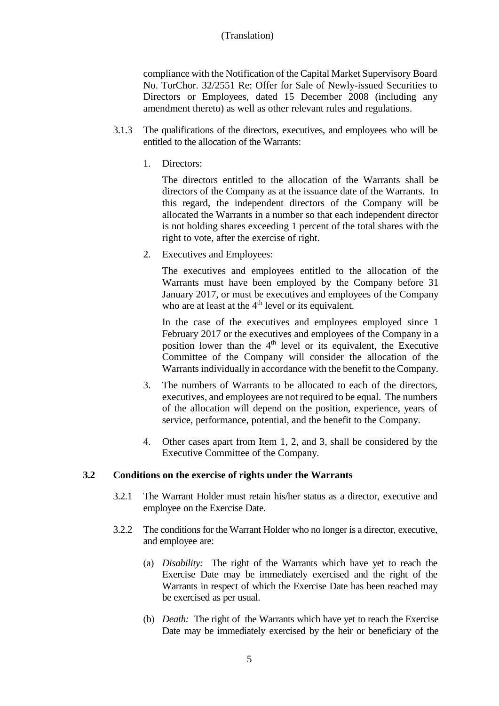## (Translation)

compliance with the Notification of the Capital Market Supervisory Board No. TorChor. 32/2551 Re: Offer for Sale of Newly-issued Securities to Directors or Employees, dated 15 December 2008 (including any amendment thereto) as well as other relevant rules and regulations.

- 3.1.3 The qualifications of the directors, executives, and employees who will be entitled to the allocation of the Warrants:
	- 1. Directors:

The directors entitled to the allocation of the Warrants shall be directors of the Company as at the issuance date of the Warrants. In this regard, the independent directors of the Company will be allocated the Warrants in a number so that each independent director is not holding shares exceeding 1 percent of the total shares with the right to vote, after the exercise of right.

2. Executives and Employees:

The executives and employees entitled to the allocation of the Warrants must have been employed by the Company before 31 January 2017, or must be executives and employees of the Company who are at least at the 4<sup>th</sup> level or its equivalent.

In the case of the executives and employees employed since 1 February 2017 or the executives and employees of the Company in a position lower than the 4<sup>th</sup> level or its equivalent, the Executive Committee of the Company will consider the allocation of the Warrants individually in accordance with the benefit to the Company.

- 3. The numbers of Warrants to be allocated to each of the directors, executives, and employees are not required to be equal. The numbers of the allocation will depend on the position, experience, years of service, performance, potential, and the benefit to the Company.
- 4. Other cases apart from Item 1, 2, and 3, shall be considered by the Executive Committee of the Company.

#### **3.2 Conditions on the exercise of rights under the Warrants**

- 3.2.1 The Warrant Holder must retain his/her status as a director, executive and employee on the Exercise Date.
- 3.2.2 The conditions for the Warrant Holder who no longer is a director, executive, and employee are:
	- (a) *Disability:* The right of the Warrants which have yet to reach the Exercise Date may be immediately exercised and the right of the Warrants in respect of which the Exercise Date has been reached may be exercised as per usual.
	- (b) *Death:* The right of the Warrants which have yet to reach the Exercise Date may be immediately exercised by the heir or beneficiary of the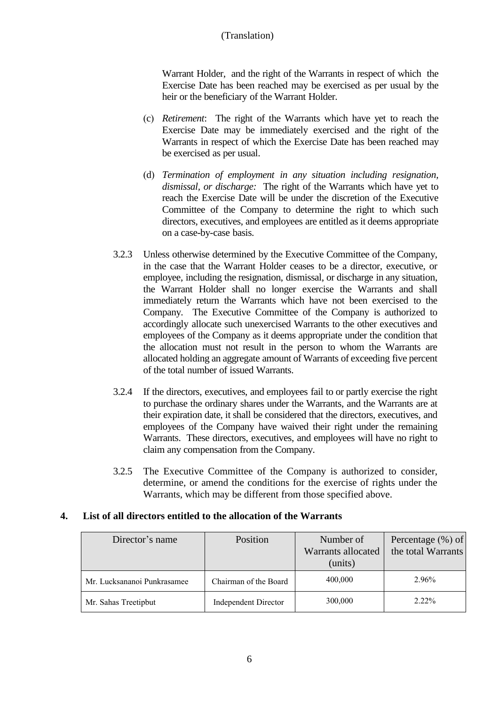# (Translation)

Warrant Holder, and the right of the Warrants in respect of which the Exercise Date has been reached may be exercised as per usual by the heir or the beneficiary of the Warrant Holder.

- (c) *Retirement*: The right of the Warrants which have yet to reach the Exercise Date may be immediately exercised and the right of the Warrants in respect of which the Exercise Date has been reached may be exercised as per usual.
- (d) *Termination of employment in any situation including resignation, dismissal, or discharge:* The right of the Warrants which have yet to reach the Exercise Date will be under the discretion of the Executive Committee of the Company to determine the right to which such directors, executives, and employees are entitled as it deems appropriate on a case-by-case basis.
- 3.2.3 Unless otherwise determined by the Executive Committee of the Company, in the case that the Warrant Holder ceases to be a director, executive, or employee, including the resignation, dismissal, or discharge in any situation, the Warrant Holder shall no longer exercise the Warrants and shall immediately return the Warrants which have not been exercised to the Company. The Executive Committee of the Company is authorized to accordingly allocate such unexercised Warrants to the other executives and employees of the Company as it deems appropriate under the condition that the allocation must not result in the person to whom the Warrants are allocated holding an aggregate amount of Warrants of exceeding five percent of the total number of issued Warrants.
- 3.2.4 If the directors, executives, and employees fail to or partly exercise the right to purchase the ordinary shares under the Warrants, and the Warrants are at their expiration date, it shall be considered that the directors, executives, and employees of the Company have waived their right under the remaining Warrants. These directors, executives, and employees will have no right to claim any compensation from the Company.
- 3.2.5 The Executive Committee of the Company is authorized to consider, determine, or amend the conditions for the exercise of rights under the Warrants, which may be different from those specified above.

## **4. List of all directors entitled to the allocation of the Warrants**

| Director's name             | Position                    | Number of<br>Warrants allocated<br>(units) | Percentage (%) of<br>the total Warrants |
|-----------------------------|-----------------------------|--------------------------------------------|-----------------------------------------|
| Mr. Lucksananoi Punkrasamee | Chairman of the Board       | 400,000                                    | 2.96%                                   |
| Mr. Sahas Treetipbut        | <b>Independent Director</b> | 300,000                                    | $2.22\%$                                |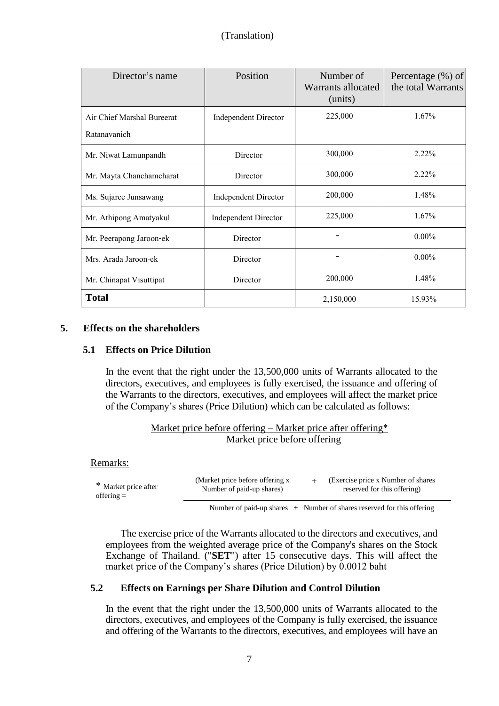| Director's name            | Position                    | Number of<br>Warrants allocated<br>(units) | Percentage $(\% )$ of<br>the total Warrants |
|----------------------------|-----------------------------|--------------------------------------------|---------------------------------------------|
| Air Chief Marshal Bureerat | <b>Independent Director</b> | 225,000                                    | $1.67\%$                                    |
| Ratanavanich               |                             |                                            |                                             |
| Mr. Niwat Lamunpandh       | Director                    | 300,000                                    | $2.22\%$                                    |
| Mr. Mayta Chanchamcharat   | Director                    | 300,000                                    | $2.22\%$                                    |
| Ms. Sujaree Junsawang      | <b>Independent Director</b> | 200,000                                    | 1.48%                                       |
| Mr. Athipong Amatyakul     | <b>Independent Director</b> | 225,000                                    | $1.67\%$                                    |
| Mr. Peerapong Jaroon-ek    | Director                    |                                            | $0.00\%$                                    |
| Mrs. Arada Jaroon-ek       | Director                    |                                            | $0.00\%$                                    |
| Mr. Chinapat Visuttipat    | Director                    | 200,000                                    | 1.48%                                       |
| <b>Total</b>               |                             | 2,150,000                                  | 15.93%                                      |

### **5. Effects on the shareholders**

### **5.1 Effects on Price Dilution**

In the event that the right under the 13,500,000 units of Warrants allocated to the directors, executives, and employees is fully exercised, the issuance and offering of the Warrants to the directors, executives, and employees will affect the market price of the Company's shares (Price Dilution) which can be calculated as follows:

| Market price before offering – Market price after offering* |  |  |                              |  |  |
|-------------------------------------------------------------|--|--|------------------------------|--|--|
|                                                             |  |  | Market price before offering |  |  |

## Remarks:

| * Market price after | (Market price before offering x) | (Exercise price x Number of shares) |
|----------------------|----------------------------------|-------------------------------------|
| offering $=$         | Number of paid-up shares)        | reserved for this offering)         |
|                      |                                  |                                     |

Number of paid-up shares  $+$  Number of shares reserved for this offering

The exercise price of the Warrants allocated to the directors and executives, and employees from the weighted average price of the Company's shares on the Stock Exchange of Thailand. ("**SET**") after 15 consecutive days. This will affect the market price of the Company's shares (Price Dilution) by 0.0012 baht

## **5.2 Effects on Earnings per Share Dilution and Control Dilution**

In the event that the right under the 13,500,000 units of Warrants allocated to the directors, executives, and employees of the Company is fully exercised, the issuance and offering of the Warrants to the directors, executives, and employees will have an